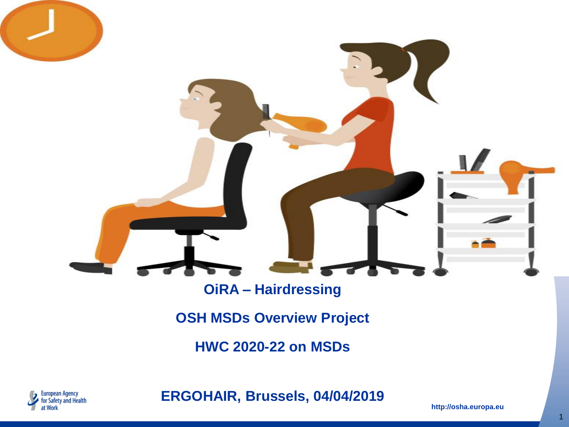#### **OiRA – Hairdressing**

**OSH MSDs Overview Project**

**HWC 2020-22 on MSDs**



**ERGOHAIR, Brussels, 04/04/2019**

**http://osha.europa.eu**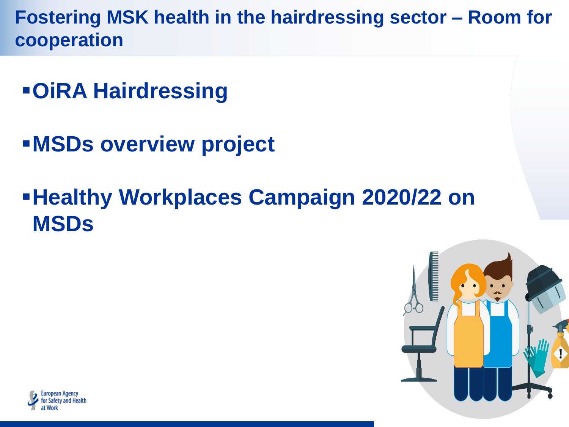**Fostering MSK health in the hairdressing sector – Room for cooperation** 

- **OiRA Hairdressing**
- **MSDs overview project**

# **Healthy Workplaces Campaign 2020/22 on MSDs**



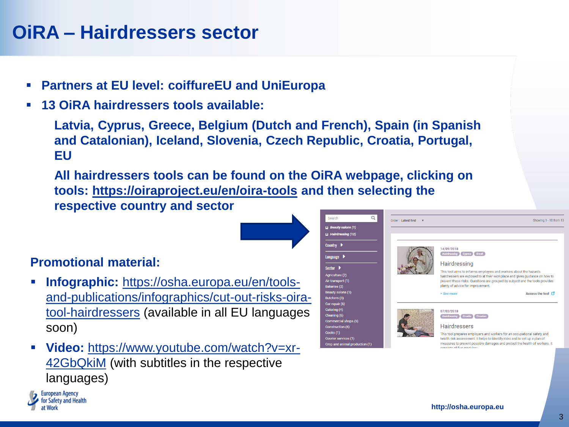#### **OiRA – Hairdressers sector**

- **Partners at EU level: coiffureEU and UniEuropa**
- **13 OiRA hairdressers tools available:**

**Latvia, Cyprus, Greece, Belgium (Dutch and French), Spain (in Spanish and Catalonian), Iceland, Slovenia, Czech Republic, Croatia, Portugal, EU**

**All hairdressers tools can be found on the OiRA webpage, clicking on tools: <https://oiraproject.eu/en/oira-tools> and then selecting the respective country and sector**

Agric Air tu<br>Bake Beat<br>Butc Car r<br>Cate Clea<br>Com Cons<br>Cour

#### **Promotional material:**

**European Agency** for Safety and Health

- **Infographic:** https://osha.europa.eu/en/tools[and-publications/infographics/cut-out-risks-oira](https://osha.europa.eu/en/tools-and-publications/infographics/cut-out-risks-oira-tool-hairdressers)tool-hairdressers (available in all EU languages soon)
- **Video:** [https://www.youtube.com/watch?v=xr-](https://www.youtube.com/watch?v=xr-42GbQkiM)42GbQkiM (with subtitles in the respective languages)

| Q                         | Order: Latest first<br>$\boldsymbol{\mathrm{v}}$ | Showing 1 - 10 from 13                                                                                                                                   |
|---------------------------|--------------------------------------------------|----------------------------------------------------------------------------------------------------------------------------------------------------------|
| eauty salons (1)          |                                                  |                                                                                                                                                          |
| airdressing (12)          |                                                  |                                                                                                                                                          |
|                           |                                                  | 14/09/2018                                                                                                                                               |
| µage ▶                    |                                                  | Hairdressing Cyprus Greek                                                                                                                                |
|                           |                                                  | Hairdressing                                                                                                                                             |
|                           |                                                  | This tool aims to informs employers and workers about the hazards                                                                                        |
| ulture (2)<br>ansport (1) |                                                  | hairdressers are exposed to at their workplace and gives guidance on how to                                                                              |
|                           |                                                  | prevent these risks. Questions are grouped by subject and the tools provides<br>plenty of advice for improvement.                                        |
| ty salons (1)             |                                                  | Access the tool<br>> See more                                                                                                                            |
| epair (6)                 |                                                  |                                                                                                                                                          |
|                           |                                                  | 07/03/2018                                                                                                                                               |
|                           |                                                  | Hairdressing Croatia Croatian                                                                                                                            |
| mercial shops (5)         |                                                  | <b>Hairdressers</b>                                                                                                                                      |
| truction (6)              |                                                  |                                                                                                                                                          |
| ier services (1)          |                                                  | This tool prepares employers and workers for an occupational safety and                                                                                  |
| and animal production (1) |                                                  | health risk assessment. It helps to identify risks and to set up a plan of<br>measures to prevent possible damages and protect the health of workers. It |
|                           |                                                  |                                                                                                                                                          |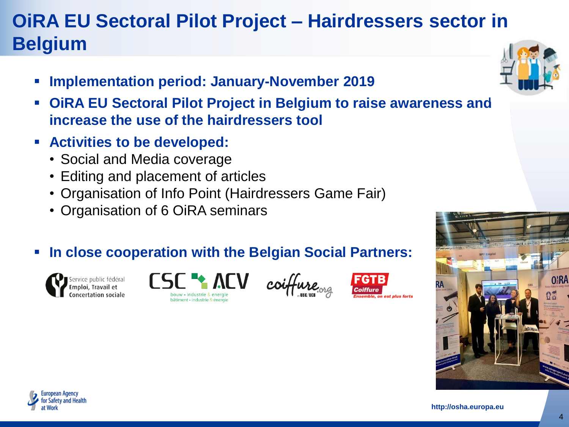# **OiRA EU Sectoral Pilot Project – Hairdressers sector in Belgium**

- **Implementation period: January-November 2019**
- **OiRA EU Sectoral Pilot Project in Belgium to raise awareness and increase the use of the hairdressers tool**
- **Activities to be developed:**
	- Social and Media coverage
	- Editing and placement of articles
	- Organisation of Info Point (Hairdressers Game Fair)
	- Organisation of 6 OiRA seminars
- **In close cooperation with the Belgian Social Partners:**













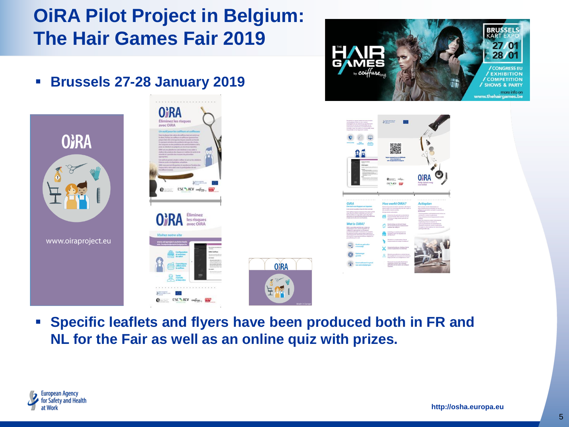### **OiRA Pilot Project in Belgium: The Hair Games Fair 2019**



**CONTRACT CONTRACT CONTRACT CONTRACT** 







 **Specific leaflets and flyers have been produced both in FR and NL for the Fair as well as an online quiz with prizes.**

**O**<sub>RA</sub>

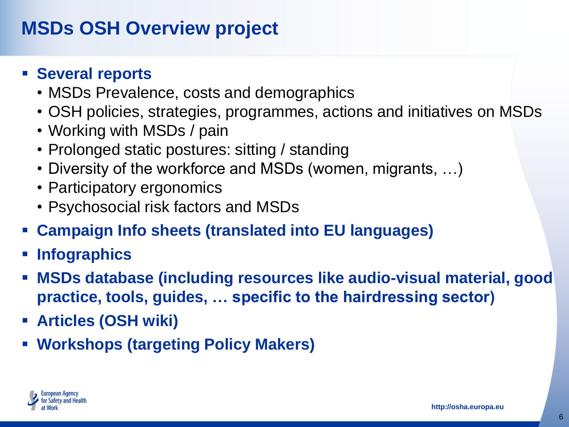#### **MSDs OSH Overview project**

#### **Several reports**

- MSDs Prevalence, costs and demographics
- OSH policies, strategies, programmes, actions and initiatives on MSDs
- Working with MSDs / pain
- Prolonged static postures: sitting / standing
- Diversity of the workforce and MSDs (women, migrants, …)
- Participatory ergonomics
- Psychosocial risk factors and MSDs
- **Campaign Info sheets (translated into EU languages)**
- **Infographics**
- **MSDs database (including resources like audio-visual material, good practice, tools, guides, … specific to the hairdressing sector)**
- **Articles (OSH wiki)**
- **Workshops (targeting Policy Makers)**

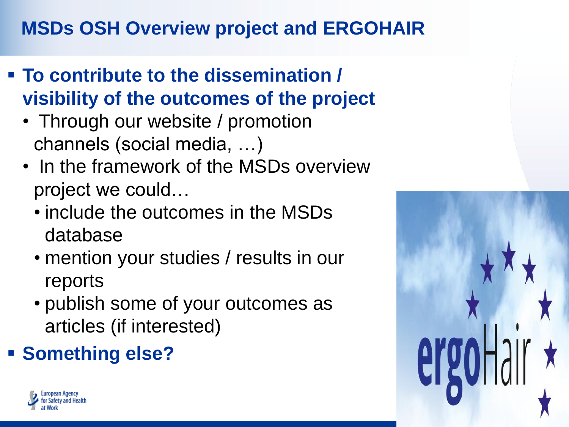# **MSDs OSH Overview project and ERGOHAIR**

- **To contribute to the dissemination / visibility of the outcomes of the project** 
	- Through our website / promotion channels (social media, …)
	- In the framework of the MSDs overview project we could…
		- include the outcomes in the MSDs database
		- mention your studies / results in our reports
		- publish some of your outcomes as articles (if interested)
- **Something else?**



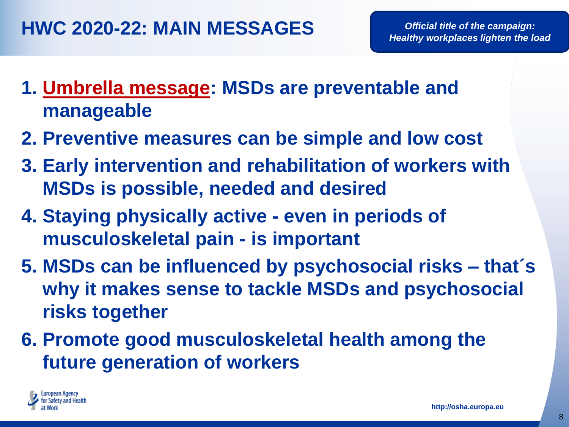- **1. Umbrella message: MSDs are preventable and manageable**
- **2. Preventive measures can be simple and low cost**
- **3. Early intervention and rehabilitation of workers with MSDs is possible, needed and desired**
- **4. Staying physically active - even in periods of musculoskeletal pain - is important**
- **5. MSDs can be influenced by psychosocial risks – that´s why it makes sense to tackle MSDs and psychosocial risks together**
- **6. Promote good musculoskeletal health among the future generation of workers**